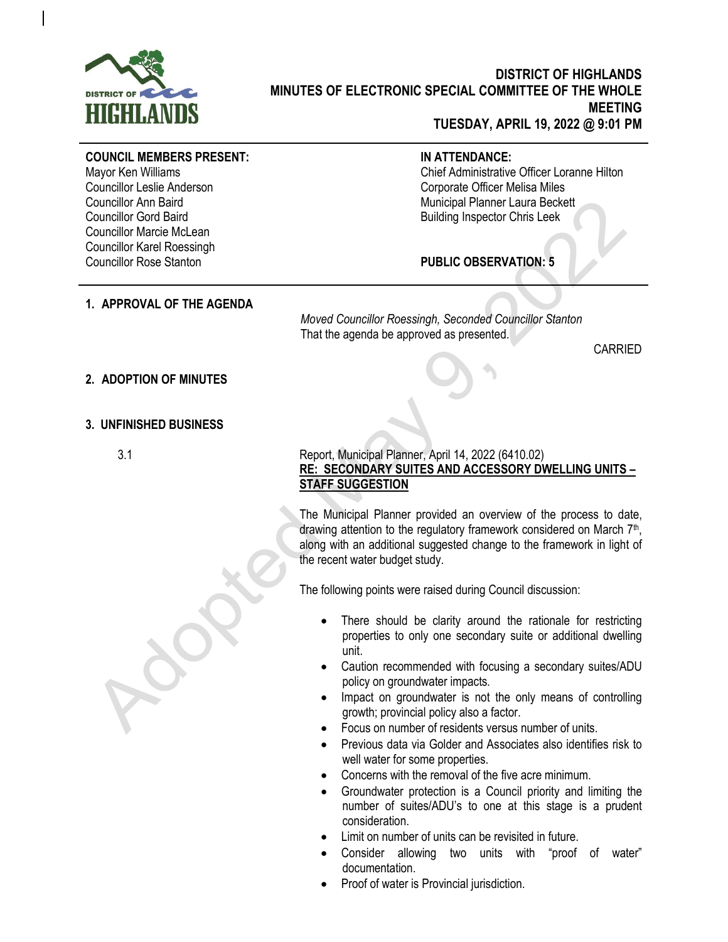

# **DISTRICT OF HIGHLANDS MINUTES OF ELECTRONIC SPECIAL COMMITTEE OF THE WHOLE MEETING TUESDAY, APRIL 19, 2022 @ 9:01 PM**

# **COUNCIL MEMBERS PRESENT:**

Mayor Ken Williams Councillor Leslie Anderson Councillor Ann Baird Councillor Gord Baird Councillor Marcie McLean Councillor Karel Roessingh Councillor Rose Stanton

# **IN ATTENDANCE:**

Chief Administrative Officer Loranne Hilton Corporate Officer Melisa Miles Municipal Planner Laura Beckett Building Inspector Chris Leek

# **PUBLIC OBSERVATION: 5**

#### **1. APPROVAL OF THE AGENDA**

#### *Moved Councillor Roessingh, Seconded Councillor Stanton* That the agenda be approved as presented.

CARRIED

#### **2. ADOPTION OF MINUTES**

#### **3. UNFINISHED BUSINESS**

## 3.1 Report, Municipal Planner, April 14, 2022 (6410.02) **RE: SECONDARY SUITES AND ACCESSORY DWELLING UNITS – STAFF SUGGESTION**

The Municipal Planner provided an overview of the process to date, drawing attention to the regulatory framework considered on March 7<sup>th</sup>, along with an additional suggested change to the framework in light of the recent water budget study.

The following points were raised during Council discussion:

- There should be clarity around the rationale for restricting properties to only one secondary suite or additional dwelling unit.
- Caution recommended with focusing a secondary suites/ADU policy on groundwater impacts.
- Impact on groundwater is not the only means of controlling growth; provincial policy also a factor.
- Focus on number of residents versus number of units.
- Previous data via Golder and Associates also identifies risk to well water for some properties.
- Concerns with the removal of the five acre minimum.
- Groundwater protection is a Council priority and limiting the number of suites/ADU's to one at this stage is a prudent consideration.
- Limit on number of units can be revisited in future.
- Consider allowing two units with "proof of water" documentation.
- Proof of water is Provincial jurisdiction.